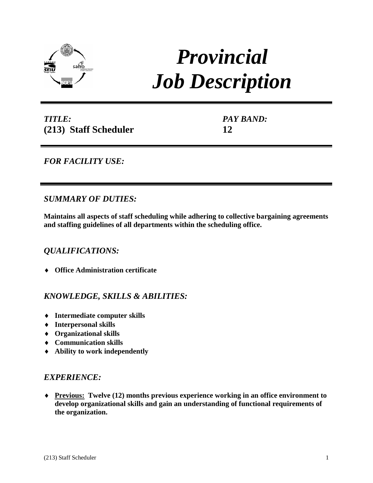

# *Provincial Job Description*

*TITLE:* **(213) Staff Scheduler** *PAY BAND:* **12**

*FOR FACILITY USE:* 

# *SUMMARY OF DUTIES:*

**Maintains all aspects of staff scheduling while adhering to collective bargaining agreements and staffing guidelines of all departments within the scheduling office.**

## *QUALIFICATIONS:*

♦ **Office Administration certificate** 

## *KNOWLEDGE, SKILLS & ABILITIES:*

- ♦ **Intermediate computer skills**
- ♦ **Interpersonal skills**
- ♦ **Organizational skills**
- ♦ **Communication skills**
- ♦ **Ability to work independently**

### *EXPERIENCE:*

♦ **Previous: Twelve (12) months previous experience working in an office environment to develop organizational skills and gain an understanding of functional requirements of the organization.**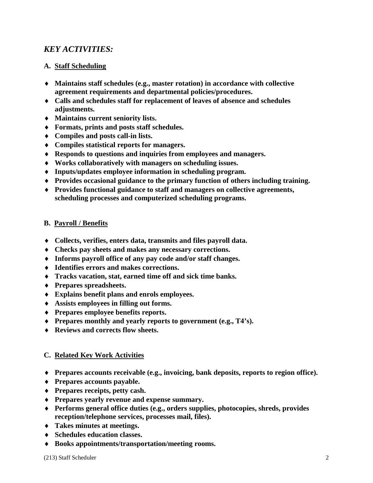## *KEY ACTIVITIES:*

#### **A. Staff Scheduling**

- ♦ **Maintains staff schedules (e.g., master rotation) in accordance with collective agreement requirements and departmental policies/procedures.**
- ♦ **Calls and schedules staff for replacement of leaves of absence and schedules adjustments.**
- ♦ **Maintains current seniority lists.**
- ♦ **Formats, prints and posts staff schedules.**
- ♦ **Compiles and posts call-in lists.**
- ♦ **Compiles statistical reports for managers.**
- ♦ **Responds to questions and inquiries from employees and managers.**
- ♦ **Works collaboratively with managers on scheduling issues.**
- ♦ **Inputs/updates employee information in scheduling program.**
- ♦ **Provides occasional guidance to the primary function of others including training.**
- ♦ **Provides functional guidance to staff and managers on collective agreements, scheduling processes and computerized scheduling programs.**

#### **B. Payroll / Benefits**

- ♦ **Collects, verifies, enters data, transmits and files payroll data.**
- ♦ **Checks pay sheets and makes any necessary corrections.**
- ♦ **Informs payroll office of any pay code and/or staff changes.**
- ♦ **Identifies errors and makes corrections.**
- ♦ **Tracks vacation, stat, earned time off and sick time banks.**
- ♦ **Prepares spreadsheets.**
- ♦ **Explains benefit plans and enrols employees.**
- ♦ **Assists employees in filling out forms.**
- ♦ **Prepares employee benefits reports.**
- ♦ **Prepares monthly and yearly reports to government (e.g., T4's).**
- ♦ **Reviews and corrects flow sheets.**

### **C. Related Key Work Activities**

- ♦ **Prepares accounts receivable (e.g., invoicing, bank deposits, reports to region office).**
- ♦ **Prepares accounts payable.**
- ♦ **Prepares receipts, petty cash.**
- ♦ **Prepares yearly revenue and expense summary.**
- ♦ **Performs general office duties (e.g., orders supplies, photocopies, shreds, provides reception/telephone services, processes mail, files).**
- ♦ **Takes minutes at meetings.**
- ♦ **Schedules education classes.**
- ♦ **Books appointments/transportation/meeting rooms.**